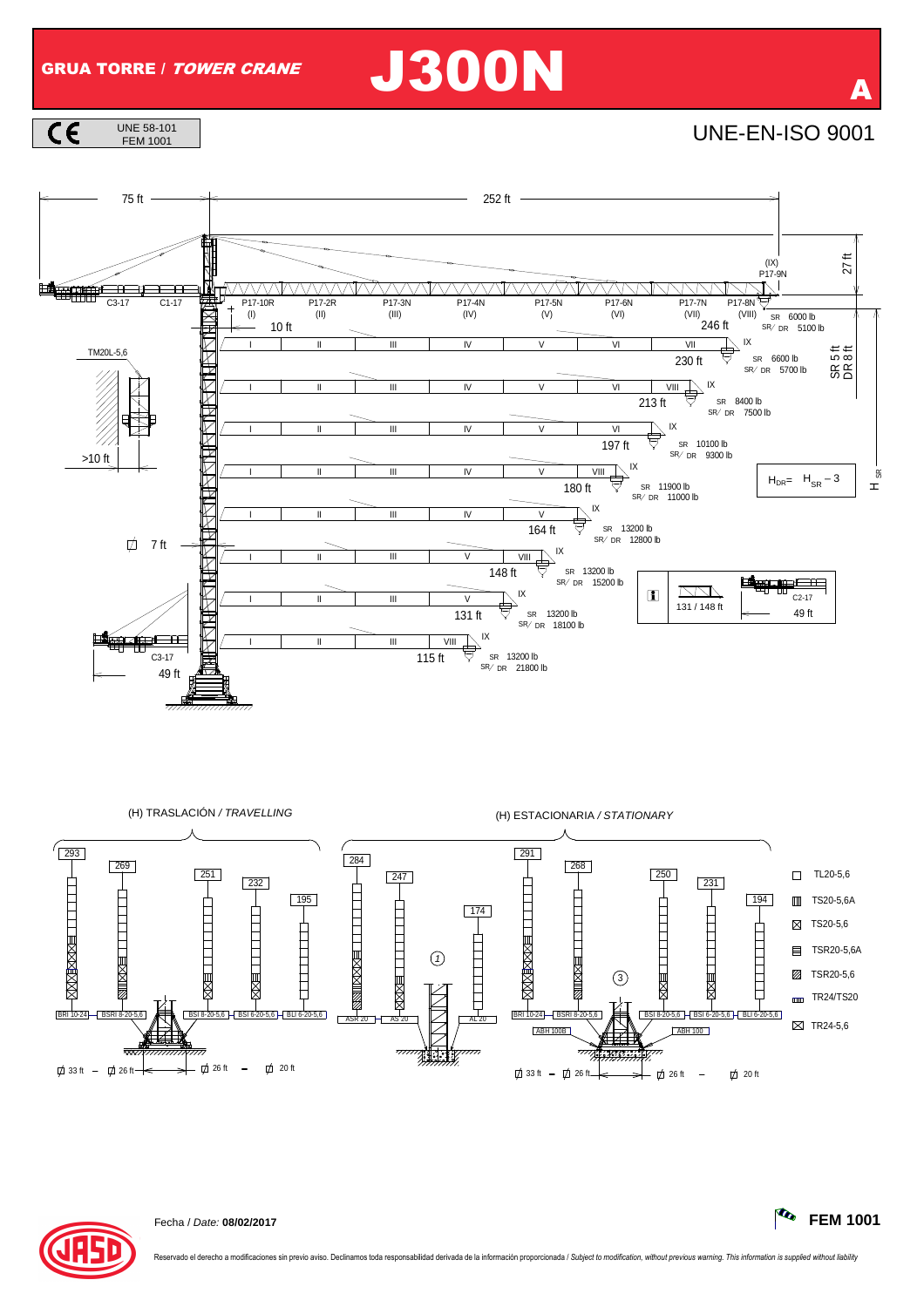## GRUA TORRE / TOWER CRANE J300N

 $\overline{c}$ UNE 58-101<br>FEM 1001









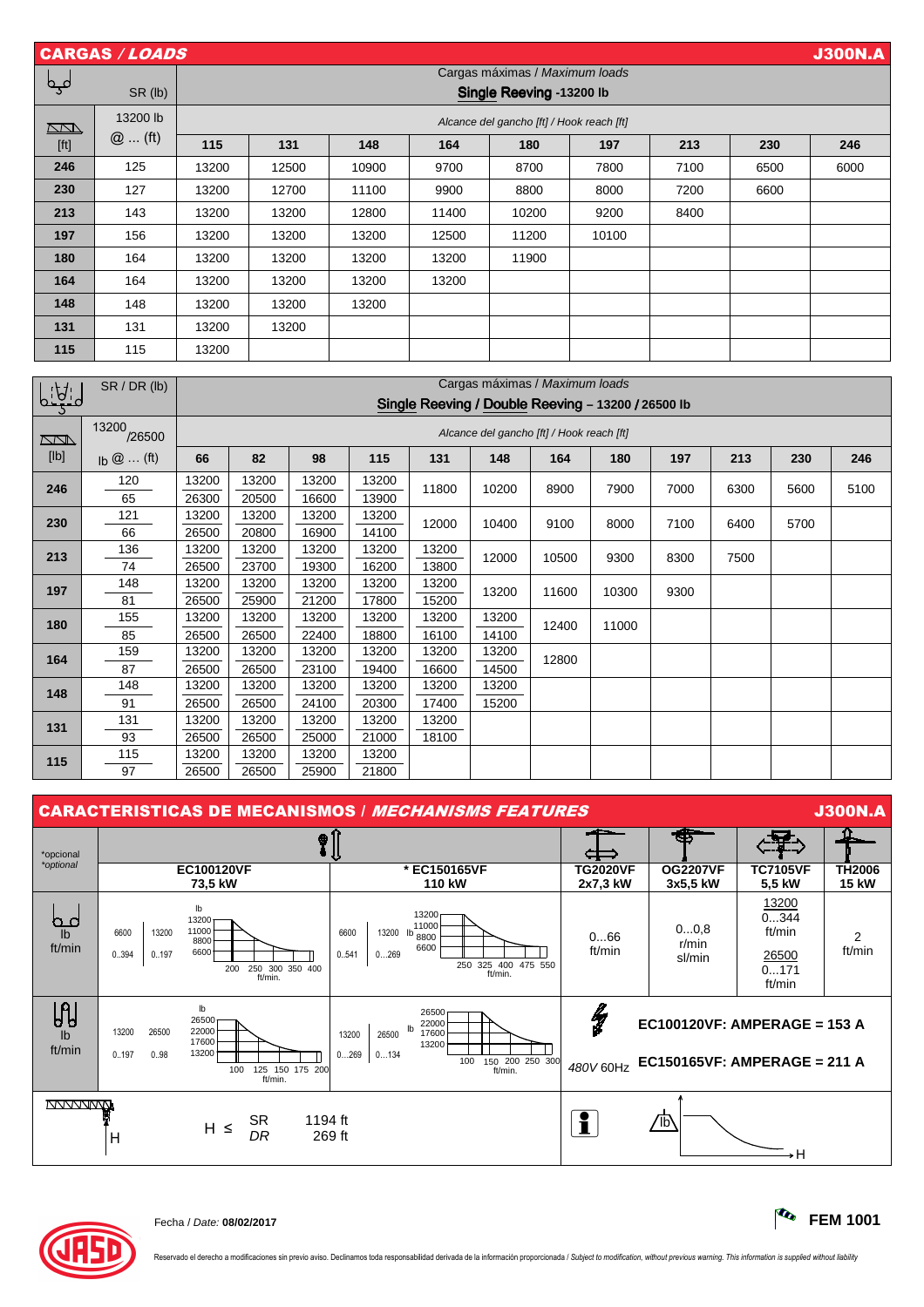| <b>CARGAS / LOADS</b><br><b>J300N.A</b> |          |       |                                           |       |       |       |       |      |      |      |  |  |  |  |
|-----------------------------------------|----------|-------|-------------------------------------------|-------|-------|-------|-------|------|------|------|--|--|--|--|
|                                         |          |       | Cargas máximas / Maximum loads            |       |       |       |       |      |      |      |  |  |  |  |
| لمہما                                   | SR (lb)  |       | Single Reeving -13200 lb                  |       |       |       |       |      |      |      |  |  |  |  |
| $\Box$                                  | 13200 lb |       | Alcance del gancho [ft] / Hook reach [ft] |       |       |       |       |      |      |      |  |  |  |  |
| [ft]                                    | $@$ (ft) | 115   | 131                                       | 148   | 164   | 180   | 197   | 213  | 230  | 246  |  |  |  |  |
| 246                                     | 125      | 13200 | 12500                                     | 10900 | 9700  | 8700  | 7800  | 7100 | 6500 | 6000 |  |  |  |  |
| 230                                     | 127      | 13200 | 12700                                     | 11100 | 9900  | 8800  | 8000  | 7200 | 6600 |      |  |  |  |  |
| 213                                     | 143      | 13200 | 13200                                     | 12800 | 11400 | 10200 | 9200  | 8400 |      |      |  |  |  |  |
| 197                                     | 156      | 13200 | 13200                                     | 13200 | 12500 | 11200 | 10100 |      |      |      |  |  |  |  |
| 180                                     | 164      | 13200 | 13200                                     | 13200 | 13200 | 11900 |       |      |      |      |  |  |  |  |
| 164                                     | 164      | 13200 | 13200                                     | 13200 | 13200 |       |       |      |      |      |  |  |  |  |
| 148                                     | 148      | 13200 | 13200                                     | 13200 |       |       |       |      |      |      |  |  |  |  |
| 131                                     | 131      | 13200 | 13200                                     |       |       |       |       |      |      |      |  |  |  |  |
| 115                                     | 115      | 13200 |                                           |       |       |       |       |      |      |      |  |  |  |  |

|              | SR/DR (lb)                                   | Cargas máximas / Maximum loads                     |       |       |       |       |               |       |       |      |      |      |      |
|--------------|----------------------------------------------|----------------------------------------------------|-------|-------|-------|-------|---------------|-------|-------|------|------|------|------|
| <u>ף הקי</u> |                                              | Single Reeving / Double Reeving - 13200 / 26500 lb |       |       |       |       |               |       |       |      |      |      |      |
| <u>NN S</u>  | 13200<br>/26500                              | Alcance del gancho [ft] / Hook reach [ft]          |       |       |       |       |               |       |       |      |      |      |      |
| [lb]         | $\mathsf{lb} \mathsf{@} \dots \mathsf{(ft)}$ | 66                                                 | 82    | 98    | 115   | 131   | 148           | 164   | 180   | 197  | 213  | 230  | 246  |
| 246          | 120                                          | 13200                                              | 13200 | 13200 | 13200 | 11800 | 10200<br>8900 |       | 7900  | 7000 | 6300 | 5600 | 5100 |
|              | 65                                           | 26300                                              | 20500 | 16600 | 13900 |       |               |       |       |      |      |      |      |
| 230          | 121                                          | 13200                                              | 13200 | 13200 | 13200 | 12000 | 10400         | 9100  | 8000  | 7100 | 6400 | 5700 |      |
|              | 66                                           | 26500                                              | 20800 | 16900 | 14100 |       |               |       |       |      |      |      |      |
| 213          | 136                                          | 13200                                              | 13200 | 13200 | 13200 | 13200 | 12000         | 10500 | 9300  | 8300 | 7500 |      |      |
|              | 74                                           | 26500                                              | 23700 | 19300 | 16200 | 13800 |               |       |       |      |      |      |      |
| 197          | 148                                          | 13200                                              | 13200 | 13200 | 13200 | 13200 | 13200         | 11600 | 10300 | 9300 |      |      |      |
|              | 81                                           | 26500                                              | 25900 | 21200 | 17800 | 15200 |               |       |       |      |      |      |      |
| 180          | 155                                          | 13200                                              | 13200 | 13200 | 13200 | 13200 | 13200         | 12400 | 11000 |      |      |      |      |
|              | 85                                           | 26500                                              | 26500 | 22400 | 18800 | 16100 | 14100         |       |       |      |      |      |      |
| 164          | 159                                          | 13200                                              | 13200 | 13200 | 13200 | 13200 | 13200         | 12800 |       |      |      |      |      |
|              | 87                                           | 26500                                              | 26500 | 23100 | 19400 | 16600 | 14500         |       |       |      |      |      |      |
| 148          | 148                                          | 13200                                              | 13200 | 13200 | 13200 | 13200 | 13200         |       |       |      |      |      |      |
|              | 91                                           | 26500                                              | 26500 | 24100 | 20300 | 17400 | 15200         |       |       |      |      |      |      |
| 131          | 131                                          | 13200                                              | 13200 | 13200 | 13200 | 13200 |               |       |       |      |      |      |      |
|              | 93                                           | 26500                                              | 26500 | 25000 | 21000 | 18100 |               |       |       |      |      |      |      |
| 115          | 115                                          | 13200                                              | 13200 | 13200 | 13200 |       |               |       |       |      |      |      |      |
|              | 97                                           | 26500                                              | 26500 | 25900 | 21800 |       |               |       |       |      |      |      |      |



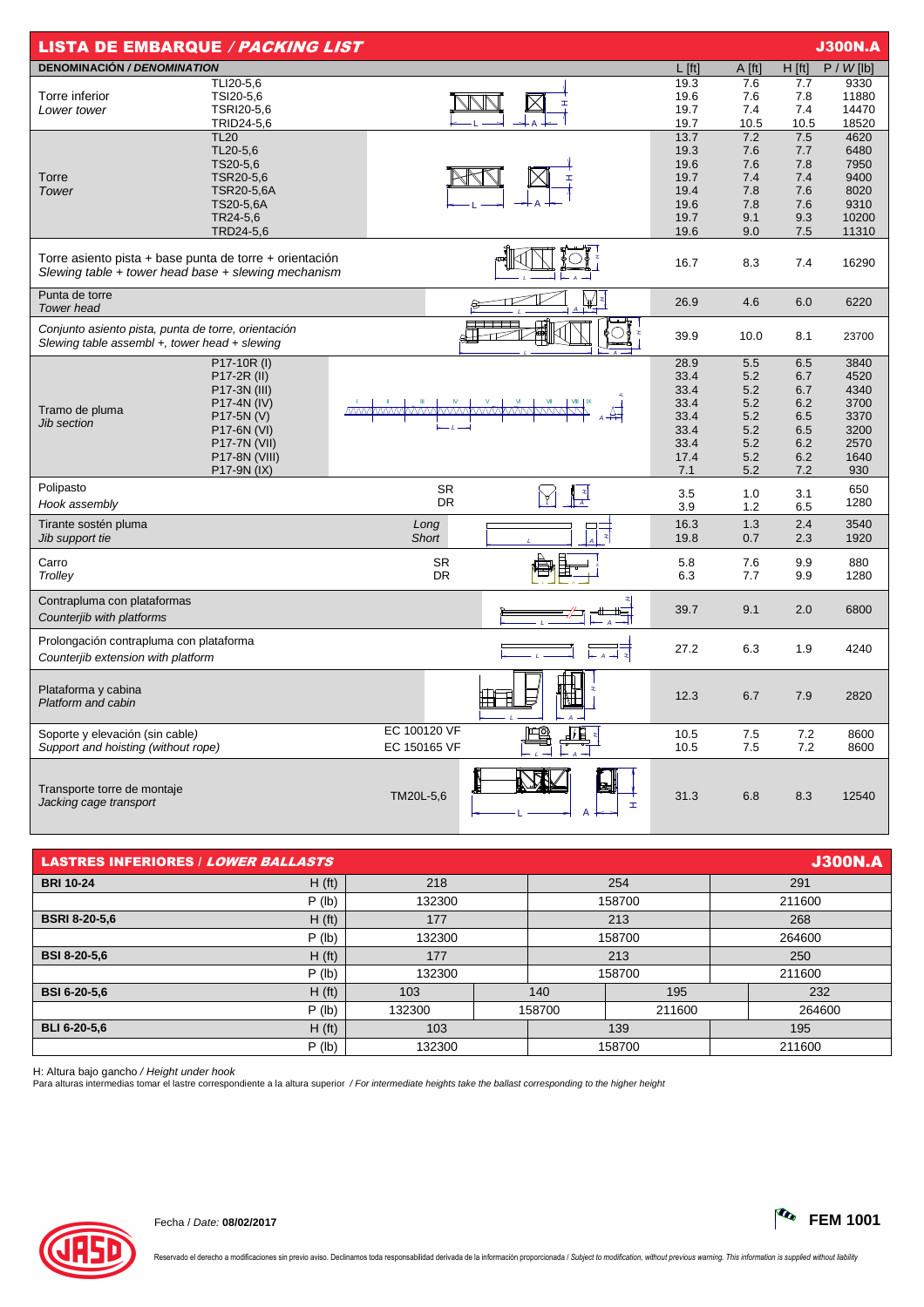| <b>LISTA DE EMBARQUE / PACKING LIST</b>                                                                        |                                            |                      |              |              |             |             | <b>J300N.A</b> |
|----------------------------------------------------------------------------------------------------------------|--------------------------------------------|----------------------|--------------|--------------|-------------|-------------|----------------|
| <b>DENOMINACIÓN / DENOMINATION</b>                                                                             |                                            |                      |              | $L$ [ft]     | A [ft]      | $H$ [ft]    | $P / W$ [lb]   |
|                                                                                                                | TLI20-5,6                                  |                      |              | 19.3         | 7.6         | 7.7         | 9330           |
| Torre inferior                                                                                                 | TSI20-5,6                                  |                      |              | 19.6         | 7.6         | 7.8         | 11880          |
| Lower tower                                                                                                    | TSRI20-5,6                                 |                      |              | 19.7         | 7.4         | 7.4         | 14470          |
|                                                                                                                | TRID24-5,6<br><b>TL20</b>                  |                      |              | 19.7<br>13.7 | 10.5<br>7.2 | 10.5<br>7.5 | 18520<br>4620  |
|                                                                                                                | TL20-5,6                                   |                      |              | 19.3         | 7.6         | 7.7         | 6480           |
|                                                                                                                | TS20-5,6                                   |                      |              | 19.6         | 7.6         | 7.8         | 7950           |
| Torre                                                                                                          | TSR20-5,6                                  |                      |              | 19.7         | 7.4         | 7.4         | 9400           |
| Tower                                                                                                          | <b>TSR20-5,6A</b>                          |                      |              | 19.4         | 7.8         | 7.6         | 8020           |
|                                                                                                                | TS20-5,6A                                  |                      |              | 19.6         | 7.8         | 7.6         | 9310           |
|                                                                                                                | TR24-5,6                                   |                      |              | 19.7         | 9.1         | 9.3         | 10200          |
|                                                                                                                | TRD24-5,6                                  |                      |              | 19.6         | 9.0         | 7.5         | 11310          |
| Torre asiento pista + base punta de torre + orientación<br>Slewing table + tower head base + slewing mechanism |                                            |                      |              | 16.7         | 8.3         | 7.4         | 16290          |
| Punta de torre<br><b>Tower</b> head                                                                            |                                            |                      |              | 26.9         | 4.6         | 6.0         | 6220           |
| Conjunto asiento pista, punta de torre, orientación<br>Slewing table assembl $+$ , tower head $+$ slewing      |                                            |                      |              | 39.9         | 10.0        | 8.1         | 23700          |
|                                                                                                                | P17-10R (I)                                |                      |              | 28.9         | 5.5         | 6.5         | 3840           |
|                                                                                                                | P17-2R (II)<br>P17-3N (III)<br>P17-4N (IV) |                      |              | 33.4         | 5.2         | 6.7         | 4520           |
|                                                                                                                |                                            |                      |              | 33.4         | 5.2         | 6.7         | 4340           |
| Tramo de pluma                                                                                                 |                                            |                      |              | 33.4         | 5.2         | 6.2         | 3700           |
| <b>Jib section</b>                                                                                             | P17-5N (V)<br>P17-6N (VI)                  |                      |              | 33.4<br>33.4 | 5.2<br>5.2  | 6.5<br>6.5  | 3370<br>3200   |
|                                                                                                                | P17-7N (VII)                               |                      |              | 33.4         | 5.2         | 6.2         | 2570           |
|                                                                                                                | P17-8N (VIII)                              |                      |              | 17.4         | 5.2         | 6.2         | 1640           |
|                                                                                                                | P17-9N (IX)                                |                      |              | 7.1          | 5.2         | 7.2         | 930            |
| Polipasto                                                                                                      |                                            | <b>SR</b>            |              |              |             |             | 650            |
| Hook assembly                                                                                                  |                                            | <b>DR</b>            | $\mathbb{F}$ | 3.5<br>3.9   | 1.0<br>1.2  | 3.1<br>6.5  | 1280           |
|                                                                                                                |                                            |                      |              |              |             |             |                |
| Tirante sostén pluma<br>Jib support tie                                                                        |                                            | Long<br><b>Short</b> |              | 16.3<br>19.8 | 1.3<br>0.7  | 2.4<br>2.3  | 3540<br>1920   |
|                                                                                                                |                                            |                      |              |              |             |             |                |
| Carro                                                                                                          |                                            | <b>SR</b>            |              | 5.8          | 7.6         | 9.9         | 880            |
| Trolley                                                                                                        |                                            | <b>DR</b>            |              | 6.3          | 7.7         | 9.9         | 1280           |
| Contrapluma con plataformas<br>Counterjib with platforms                                                       |                                            |                      |              | 39.7         | 9.1         | 2.0         | 6800           |
| Prolongación contrapluma con plataforma                                                                        |                                            |                      |              |              |             |             |                |
| Counterjib extension with platform                                                                             |                                            |                      |              | 27.2         | 6.3         | 1.9         | 4240           |
| Plataforma y cabina<br>Platform and cabin                                                                      |                                            |                      |              | 12.3         | 6.7         | 7.9         | 2820           |
| Soporte y elevación (sin cable)                                                                                |                                            | EC 100120 VF         | ட்டு<br>41 P | 10.5         | 7.5         | 7.2         | 8600           |
| Support and hoisting (without rope)                                                                            |                                            | EC 150165 VF         |              | 10.5         | 7.5         | 7.2         | 8600           |
| Transporte torre de montaje<br>Jacking cage transport                                                          |                                            | TM20L-5,6            | Ŧ.<br>A      | 31.3         | 6.8         | 8.3         | 12540          |

| <b>J300N.A</b><br><b>LASTRES INFERIORES / LOWER BALLASTS</b> |                    |        |  |        |        |        |        |  |  |
|--------------------------------------------------------------|--------------------|--------|--|--------|--------|--------|--------|--|--|
| <b>BRI 10-24</b>                                             | H(f <sub>t</sub> ) | 218    |  |        | 254    | 291    |        |  |  |
|                                                              | P (lb)             | 132300 |  |        | 158700 | 211600 |        |  |  |
| <b>BSRI 8-20-5,6</b>                                         | H(f <sub>t</sub> ) | 177    |  | 213    |        | 268    |        |  |  |
|                                                              | P (lb)             | 132300 |  | 158700 |        |        | 264600 |  |  |
| <b>BSI 8-20-5,6</b>                                          | H(f <sub>t</sub> ) | 177    |  |        | 213    |        | 250    |  |  |
|                                                              | $P$ (lb)           | 132300 |  |        | 158700 |        | 211600 |  |  |
| <b>BSI 6-20-5.6</b>                                          | H(ft)              | 103    |  | 140    | 195    |        | 232    |  |  |
|                                                              | $P$ (lb)           | 132300 |  | 158700 | 211600 |        | 264600 |  |  |
| <b>BLI 6-20-5.6</b>                                          | H(f <sub>t</sub> ) | 103    |  | 139    |        | 195    |        |  |  |
|                                                              | P (lb)             | 132300 |  | 158700 |        | 211600 |        |  |  |

H: Altura bajo gancho */ Height under hook*<br>Para alturas intermedias tomar el lastre correspondiente a la altura superior */ For intermediate heights take the ballast corresponding to the higher height*